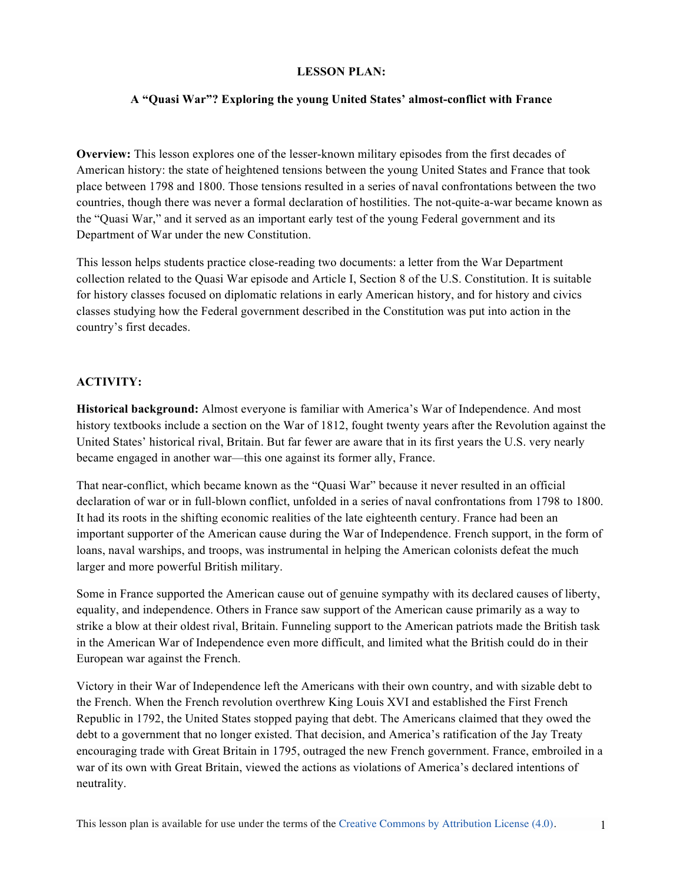# **LESSON PLAN:**

# **A "Quasi War"? Exploring the young United States' almost-conflict with France**

**Overview:** This lesson explores one of the lesser-known military episodes from the first decades of American history: the state of heightened tensions between the young United States and France that took place between 1798 and 1800. Those tensions resulted in a series of naval confrontations between the two countries, though there was never a formal declaration of hostilities. The not-quite-a-war became known as the "Quasi War," and it served as an important early test of the young Federal government and its Department of War under the new Constitution.

This lesson helps students practice close-reading two documents: a letter from the War Department collection related to the Quasi War episode and Article I, Section 8 of the U.S. Constitution. It is suitable for history classes focused on diplomatic relations in early American history, and for history and civics classes studying how the Federal government described in the Constitution was put into action in the country's first decades.

# **ACTIVITY:**

**Historical background:** Almost everyone is familiar with America's War of Independence. And most history textbooks include a section on the War of 1812, fought twenty years after the Revolution against the United States' historical rival, Britain. But far fewer are aware that in its first years the U.S. very nearly became engaged in another war—this one against its former ally, France.

That near-conflict, which became known as the "Quasi War" because it never resulted in an official declaration of war or in full-blown conflict, unfolded in a series of naval confrontations from 1798 to 1800. It had its roots in the shifting economic realities of the late eighteenth century. France had been an important supporter of the American cause during the War of Independence. French support, in the form of loans, naval warships, and troops, was instrumental in helping the American colonists defeat the much larger and more powerful British military.

Some in France supported the American cause out of genuine sympathy with its declared causes of liberty, equality, and independence. Others in France saw support of the American cause primarily as a way to strike a blow at their oldest rival, Britain. Funneling support to the American patriots made the British task in the American War of Independence even more difficult, and limited what the British could do in their European war against the French.

Victory in their War of Independence left the Americans with their own country, and with sizable debt to the French. When the French revolution overthrew King Louis XVI and established the First French Republic in 1792, the United States stopped paying that debt. The Americans claimed that they owed the debt to a government that no longer existed. That decision, and America's ratification of the Jay Treaty encouraging trade with Great Britain in 1795, outraged the new French government. France, embroiled in a war of its own with Great Britain, viewed the actions as violations of America's declared intentions of neutrality.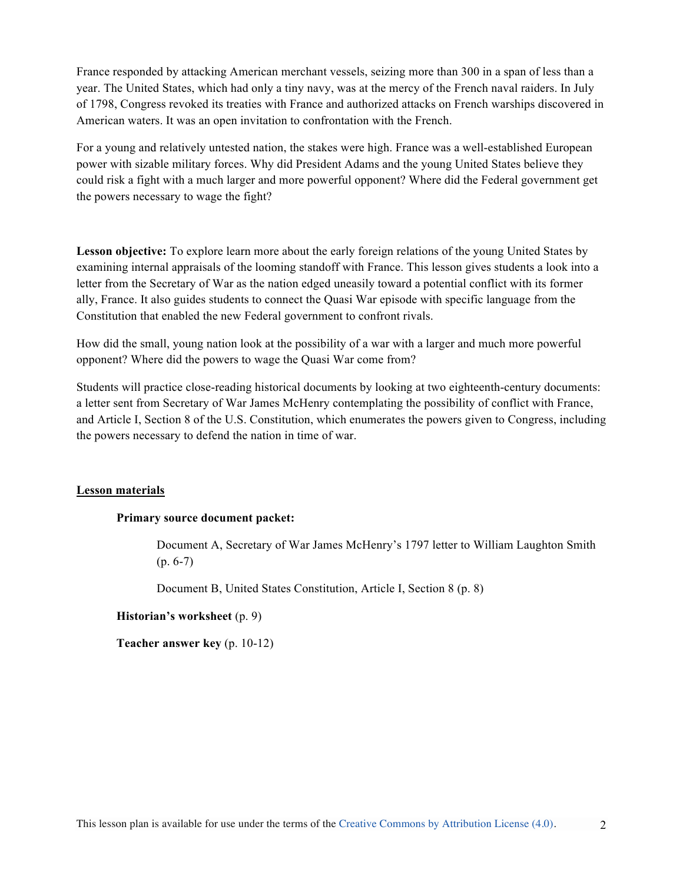France responded by attacking American merchant vessels, seizing more than 300 in a span of less than a year. The United States, which had only a tiny navy, was at the mercy of the French naval raiders. In July of 1798, Congress revoked its treaties with France and authorized attacks on French warships discovered in American waters. It was an open invitation to confrontation with the French.

For a young and relatively untested nation, the stakes were high. France was a well-established European power with sizable military forces. Why did President Adams and the young United States believe they could risk a fight with a much larger and more powerful opponent? Where did the Federal government get the powers necessary to wage the fight?

**Lesson objective:** To explore learn more about the early foreign relations of the young United States by examining internal appraisals of the looming standoff with France. This lesson gives students a look into a letter from the Secretary of War as the nation edged uneasily toward a potential conflict with its former ally, France. It also guides students to connect the Quasi War episode with specific language from the Constitution that enabled the new Federal government to confront rivals.

How did the small, young nation look at the possibility of a war with a larger and much more powerful opponent? Where did the powers to wage the Quasi War come from?

Students will practice close-reading historical documents by looking at two eighteenth-century documents: a letter sent from Secretary of War James McHenry contemplating the possibility of conflict with France, and Article I, Section 8 of the U.S. Constitution, which enumerates the powers given to Congress, including the powers necessary to defend the nation in time of war.

### **Lesson materials**

### **Primary source document packet:**

Document A, Secretary of War James McHenry's 1797 letter to William Laughton Smith (p. 6-7)

Document B, United States Constitution, Article I, Section 8 (p. 8)

### **Historian's worksheet** (p. 9)

**Teacher answer key** (p. 10-12)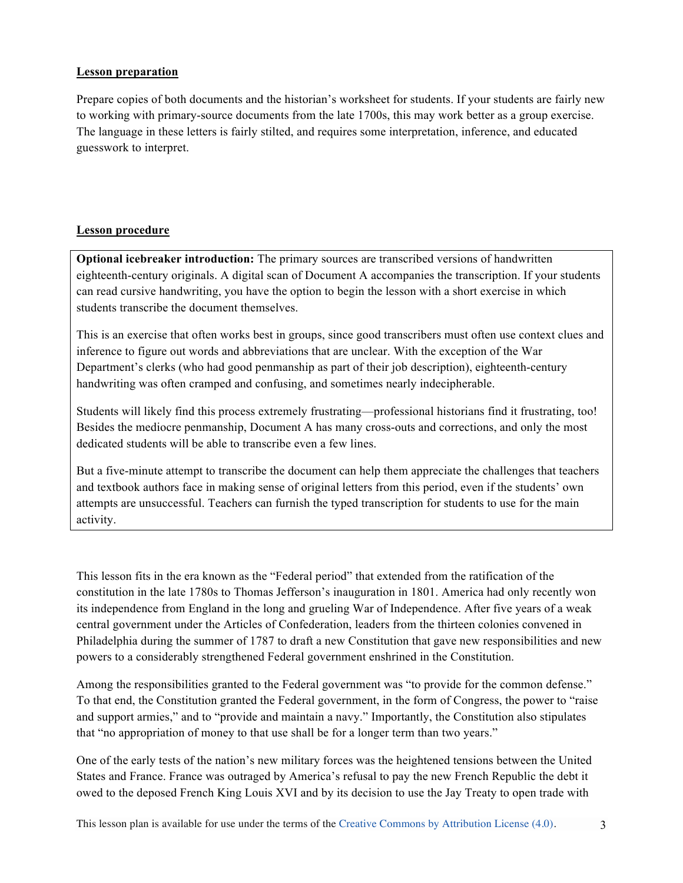# **Lesson preparation**

Prepare copies of both documents and the historian's worksheet for students. If your students are fairly new to working with primary-source documents from the late 1700s, this may work better as a group exercise. The language in these letters is fairly stilted, and requires some interpretation, inference, and educated guesswork to interpret.

# **Lesson procedure**

**Optional icebreaker introduction:** The primary sources are transcribed versions of handwritten eighteenth-century originals. A digital scan of Document A accompanies the transcription. If your students can read cursive handwriting, you have the option to begin the lesson with a short exercise in which students transcribe the document themselves.

This is an exercise that often works best in groups, since good transcribers must often use context clues and inference to figure out words and abbreviations that are unclear. With the exception of the War Department's clerks (who had good penmanship as part of their job description), eighteenth-century handwriting was often cramped and confusing, and sometimes nearly indecipherable.

Students will likely find this process extremely frustrating—professional historians find it frustrating, too! Besides the mediocre penmanship, Document A has many cross-outs and corrections, and only the most dedicated students will be able to transcribe even a few lines.

But a five-minute attempt to transcribe the document can help them appreciate the challenges that teachers and textbook authors face in making sense of original letters from this period, even if the students' own attempts are unsuccessful. Teachers can furnish the typed transcription for students to use for the main activity.

This lesson fits in the era known as the "Federal period" that extended from the ratification of the constitution in the late 1780s to Thomas Jefferson's inauguration in 1801. America had only recently won its independence from England in the long and grueling War of Independence. After five years of a weak central government under the Articles of Confederation, leaders from the thirteen colonies convened in Philadelphia during the summer of 1787 to draft a new Constitution that gave new responsibilities and new powers to a considerably strengthened Federal government enshrined in the Constitution.

Among the responsibilities granted to the Federal government was "to provide for the common defense." To that end, the Constitution granted the Federal government, in the form of Congress, the power to "raise and support armies," and to "provide and maintain a navy." Importantly, the Constitution also stipulates that "no appropriation of money to that use shall be for a longer term than two years."

One of the early tests of the nation's new military forces was the heightened tensions between the United States and France. France was outraged by America's refusal to pay the new French Republic the debt it owed to the deposed French King Louis XVI and by its decision to use the Jay Treaty to open trade with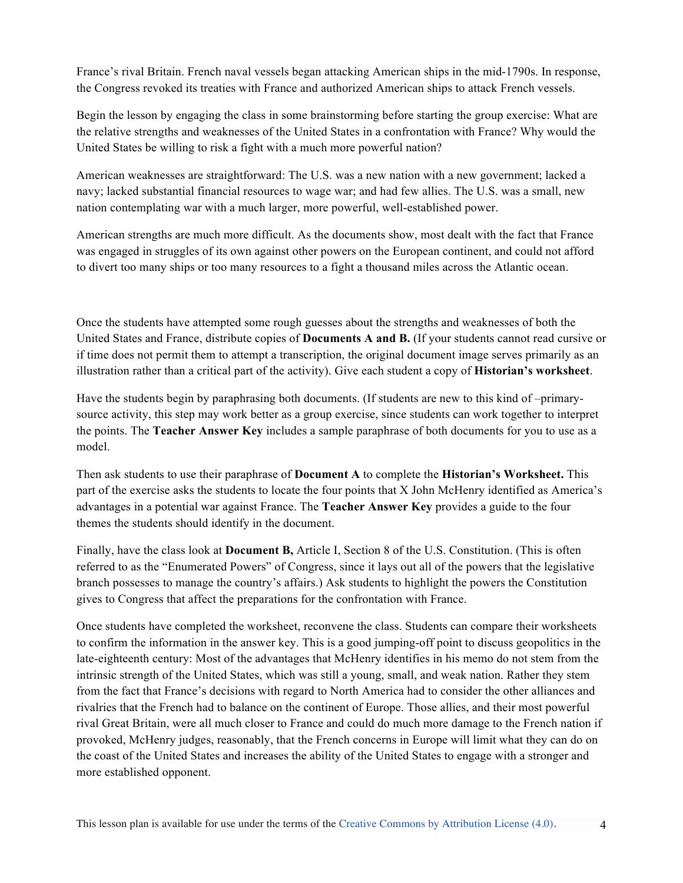France's rival Britain. French naval vessels began attacking American ships in the mid-1790s. In response, the Congress revoked its treaties with France and authorized American ships to attack French vessels.

Begin the lesson by engaging the class in some brainstorming before starting the group exercise: What are the relative strengths and weaknesses of the United States in a confrontation with France? Why would the United States be willing to risk a fight with a much more powerful nation?

American weaknesses are straightforward: The U.S. was a new nation with a new government; lacked a navy; lacked substantial financial resources to wage war; and had few allies. The U.S. was a small, new nation contemplating war with a much larger, more powerful, well-established power.

American strengths are much more difficult. As the documents show, most dealt with the fact that France was engaged in struggles of its own against other powers on the European continent, and could not afford to divert too many ships or too many resources to a fight a thousand miles across the Atlantic ocean.

Once the students have attempted some rough guesses about the strengths and weaknesses of both the United States and France, distribute copies of **Documents A and B.** (If your students cannot read cursive or if time does not permit them to attempt a transcription, the original document image serves primarily as an illustration rather than a critical part of the activity). Give each student a copy of **Historian's worksheet**.

Have the students begin by paraphrasing both documents. (If students are new to this kind of –primarysource activity, this step may work better as a group exercise, since students can work together to interpret the points. The **Teacher Answer Key** includes a sample paraphrase of both documents for you to use as a model.

Then ask students to use their paraphrase of **Document A** to complete the **Historian's Worksheet.** This part of the exercise asks the students to locate the four points that X John McHenry identified as America's advantages in a potential war against France. The **Teacher Answer Key** provides a guide to the four themes the students should identify in the document.

Finally, have the class look at **Document B,** Article I, Section 8 of the U.S. Constitution. (This is often referred to as the "Enumerated Powers" of Congress, since it lays out all of the powers that the legislative branch possesses to manage the country's affairs.) Ask students to highlight the powers the Constitution gives to Congress that affect the preparations for the confrontation with France.

Once students have completed the worksheet, reconvene the class. Students can compare their worksheets to confirm the information in the answer key. This is a good jumping-off point to discuss geopolitics in the late-eighteenth century: Most of the advantages that McHenry identifies in his memo do not stem from the intrinsic strength of the United States, which was still a young, small, and weak nation. Rather they stem from the fact that France's decisions with regard to North America had to consider the other alliances and rivalries that the French had to balance on the continent of Europe. Those allies, and their most powerful rival Great Britain, were all much closer to France and could do much more damage to the French nation if provoked, McHenry judges, reasonably, that the French concerns in Europe will limit what they can do on the coast of the United States and increases the ability of the United States to engage with a stronger and more established opponent.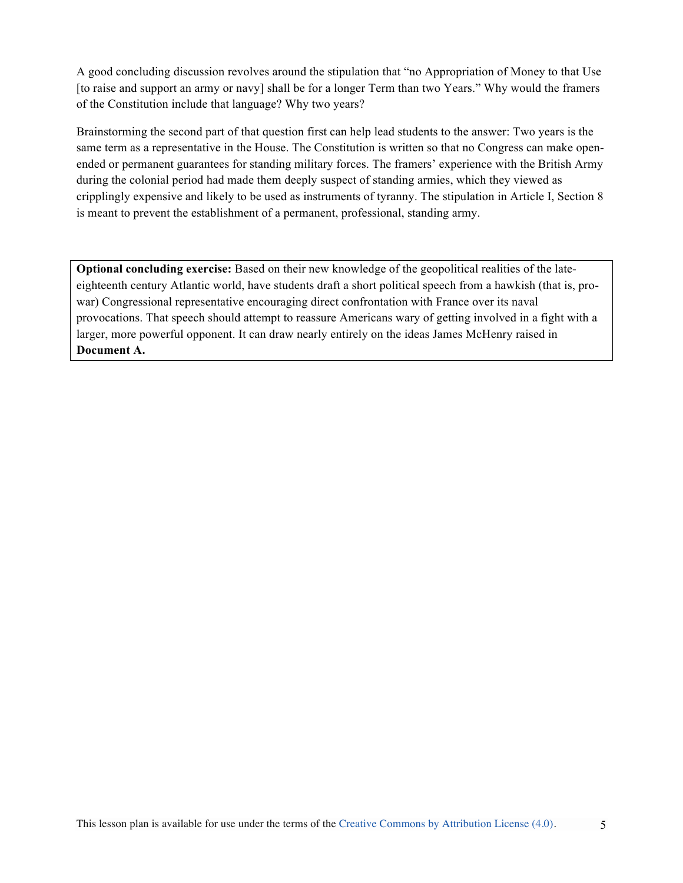A good concluding discussion revolves around the stipulation that "no Appropriation of Money to that Use [to raise and support an army or navy] shall be for a longer Term than two Years." Why would the framers of the Constitution include that language? Why two years?

Brainstorming the second part of that question first can help lead students to the answer: Two years is the same term as a representative in the House. The Constitution is written so that no Congress can make openended or permanent guarantees for standing military forces. The framers' experience with the British Army during the colonial period had made them deeply suspect of standing armies, which they viewed as cripplingly expensive and likely to be used as instruments of tyranny. The stipulation in Article I, Section 8 is meant to prevent the establishment of a permanent, professional, standing army.

**Optional concluding exercise:** Based on their new knowledge of the geopolitical realities of the lateeighteenth century Atlantic world, have students draft a short political speech from a hawkish (that is, prowar) Congressional representative encouraging direct confrontation with France over its naval provocations. That speech should attempt to reassure Americans wary of getting involved in a fight with a larger, more powerful opponent. It can draw nearly entirely on the ideas James McHenry raised in **Document A.**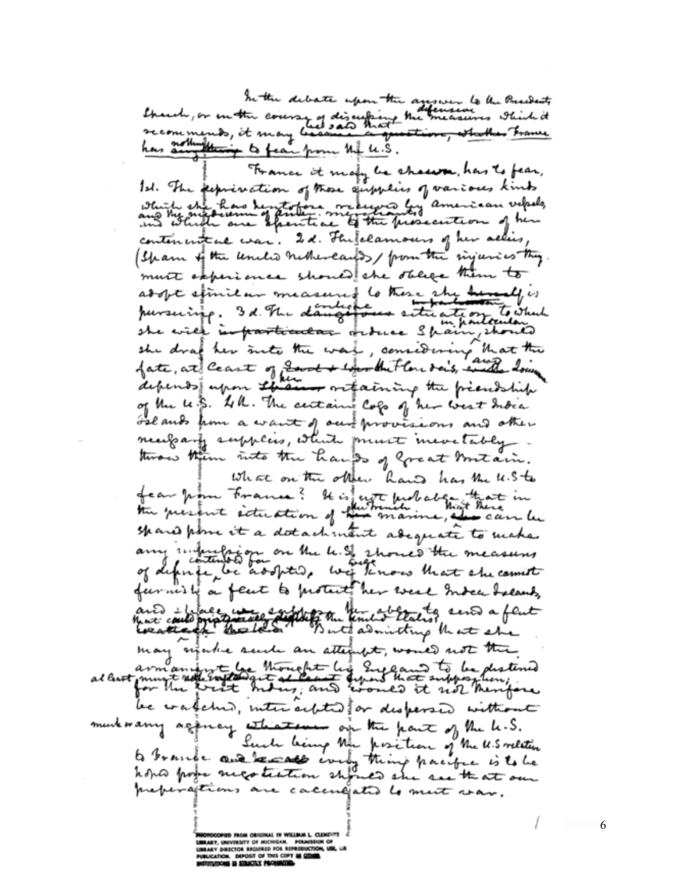In the debate upon the answer to the Presidents thereby or on the coverse of discussing the measures which it thing to fear from the U.S.

France it many be chawn, has to fear, Id. The perprinction of those empheirs of various kinds which she has heretotore received by american velocks, contenented was. I.d. The felamours of her allies, (Sham of the uncle nother early from the sinjuries they. must experience should she stilled them to adopt spinitum measured to these she have all is pursuing. 3 d. The dampetous setting on to which<br>she will infractionation ordered Shain, should depends upon the and ortaining the president of the le. S. All. The certains Cops of her west India Islands from a want of our provisions and other necessary supplies, which must mevetably twas them into the hands of great boutain. What on the other hand has the u.S.t. fear from France? It is not probably that in spared point it a datachment adequate to make any infusion on the U.S. 2 hours the measures furnish a feut to protect her west Indee Islands, and effore we explore the above to send a feut may entable send an attempt, would not the al least must not content to be destined be watched, interacted for dispersed without murkwarry againcy attractions on the part of the k.S. Such being the position of the U.S relation to brance and really every thing pacific is to be preparations are calculated to must was. This lesson plan is available for use under the terms of the Creative Commons by  $A$ 

MEVIRSITY OF MICHIGAN. PIRA<br>HIECTOR REGURED FOR REPRODU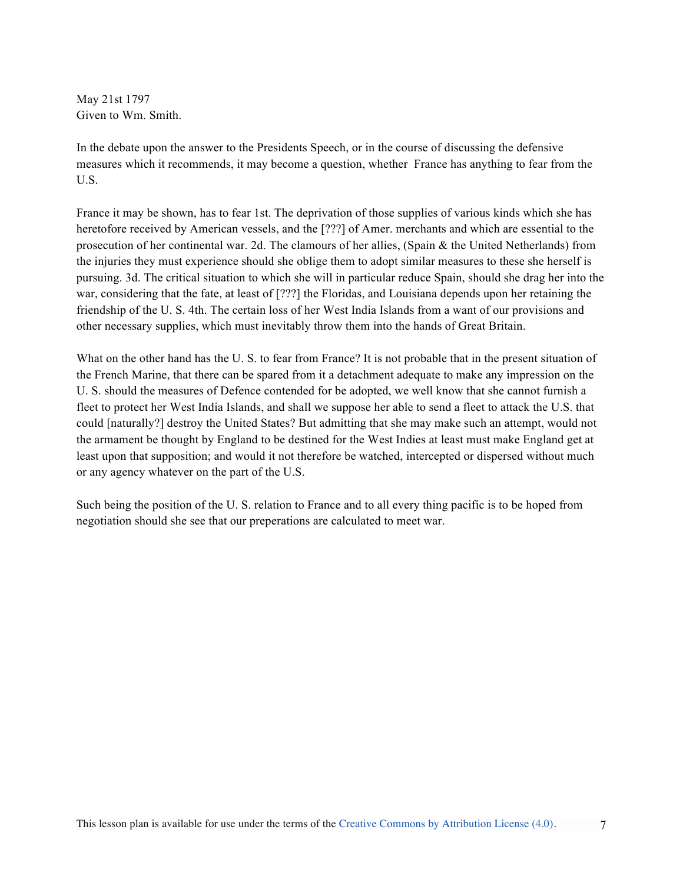May 21st 1797 Given to Wm. Smith.

In the debate upon the answer to the Presidents Speech, or in the course of discussing the defensive measures which it recommends, it may become a question, whether France has anything to fear from the U.S.

France it may be shown, has to fear 1st. The deprivation of those supplies of various kinds which she has heretofore received by American vessels, and the [???] of Amer. merchants and which are essential to the prosecution of her continental war. 2d. The clamours of her allies, (Spain & the United Netherlands) from the injuries they must experience should she oblige them to adopt similar measures to these she herself is pursuing. 3d. The critical situation to which she will in particular reduce Spain, should she drag her into the war, considering that the fate, at least of [???] the Floridas, and Louisiana depends upon her retaining the friendship of the U. S. 4th. The certain loss of her West India Islands from a want of our provisions and other necessary supplies, which must inevitably throw them into the hands of Great Britain.

What on the other hand has the U.S. to fear from France? It is not probable that in the present situation of the French Marine, that there can be spared from it a detachment adequate to make any impression on the U. S. should the measures of Defence contended for be adopted, we well know that she cannot furnish a fleet to protect her West India Islands, and shall we suppose her able to send a fleet to attack the U.S. that could [naturally?] destroy the United States? But admitting that she may make such an attempt, would not the armament be thought by England to be destined for the West Indies at least must make England get at least upon that supposition; and would it not therefore be watched, intercepted or dispersed without much or any agency whatever on the part of the U.S.

Such being the position of the U. S. relation to France and to all every thing pacific is to be hoped from negotiation should she see that our preperations are calculated to meet war.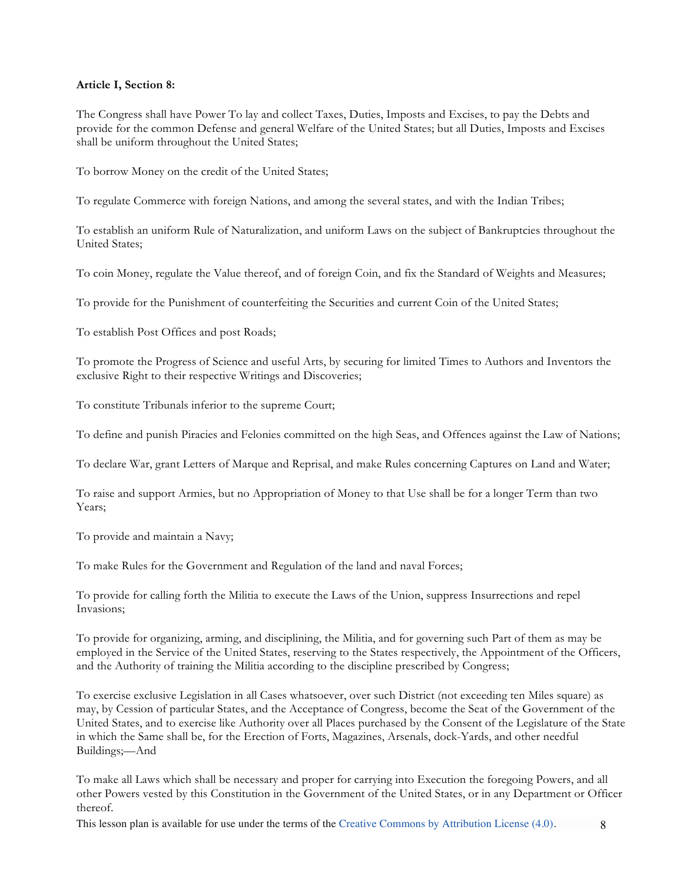### **Article I, Section 8:**

The Congress shall have Power To lay and collect Taxes, Duties, Imposts and Excises, to pay the Debts and provide for the common Defense and general Welfare of the United States; but all Duties, Imposts and Excises shall be uniform throughout the United States;

To borrow Money on the credit of the United States;

To regulate Commerce with foreign Nations, and among the several states, and with the Indian Tribes;

To establish an uniform Rule of Naturalization, and uniform Laws on the subject of Bankruptcies throughout the United States;

To coin Money, regulate the Value thereof, and of foreign Coin, and fix the Standard of Weights and Measures;

To provide for the Punishment of counterfeiting the Securities and current Coin of the United States;

To establish Post Offices and post Roads;

To promote the Progress of Science and useful Arts, by securing for limited Times to Authors and Inventors the exclusive Right to their respective Writings and Discoveries;

To constitute Tribunals inferior to the supreme Court;

To define and punish Piracies and Felonies committed on the high Seas, and Offences against the Law of Nations;

To declare War, grant Letters of Marque and Reprisal, and make Rules concerning Captures on Land and Water;

To raise and support Armies, but no Appropriation of Money to that Use shall be for a longer Term than two Years;

To provide and maintain a Navy;

To make Rules for the Government and Regulation of the land and naval Forces;

To provide for calling forth the Militia to execute the Laws of the Union, suppress Insurrections and repel Invasions;

To provide for organizing, arming, and disciplining, the Militia, and for governing such Part of them as may be employed in the Service of the United States, reserving to the States respectively, the Appointment of the Officers, and the Authority of training the Militia according to the discipline prescribed by Congress;

To exercise exclusive Legislation in all Cases whatsoever, over such District (not exceeding ten Miles square) as may, by Cession of particular States, and the Acceptance of Congress, become the Seat of the Government of the United States, and to exercise like Authority over all Places purchased by the Consent of the Legislature of the State in which the Same shall be, for the Erection of Forts, Magazines, Arsenals, dock-Yards, and other needful Buildings;—And

To make all Laws which shall be necessary and proper for carrying into Execution the foregoing Powers, and all other Powers vested by this Constitution in the Government of the United States, or in any Department or Officer thereof.

This lesson plan is available for use under the terms of the Creative Commons by Attribution License (4.0). 8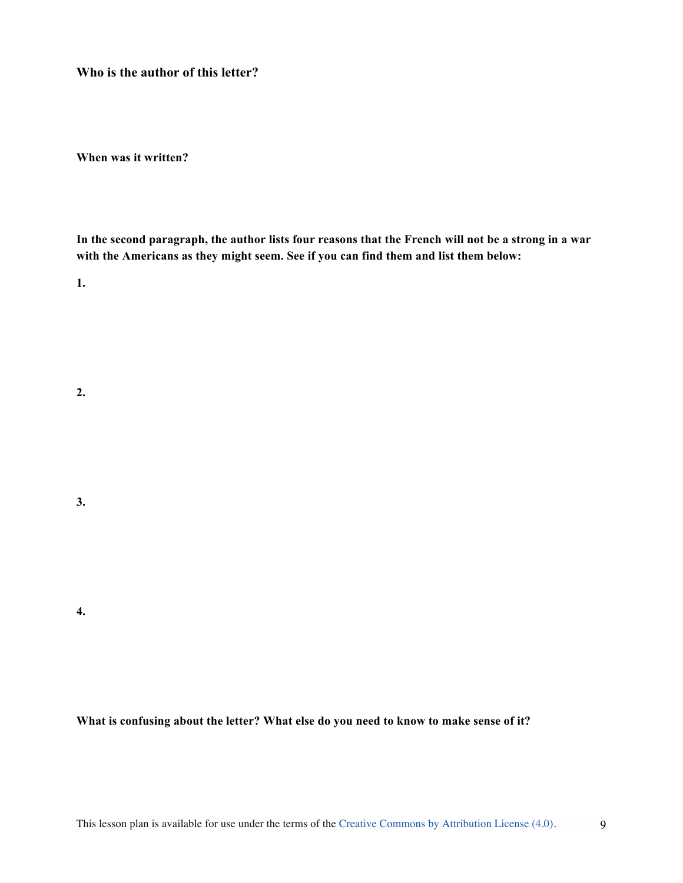**Who is the author of this letter?** 

**When was it written?**

**In the second paragraph, the author lists four reasons that the French will not be a strong in a war with the Americans as they might seem. See if you can find them and list them below:**

**1.** 

**2.** 

**3.** 

**4.**

**What is confusing about the letter? What else do you need to know to make sense of it?**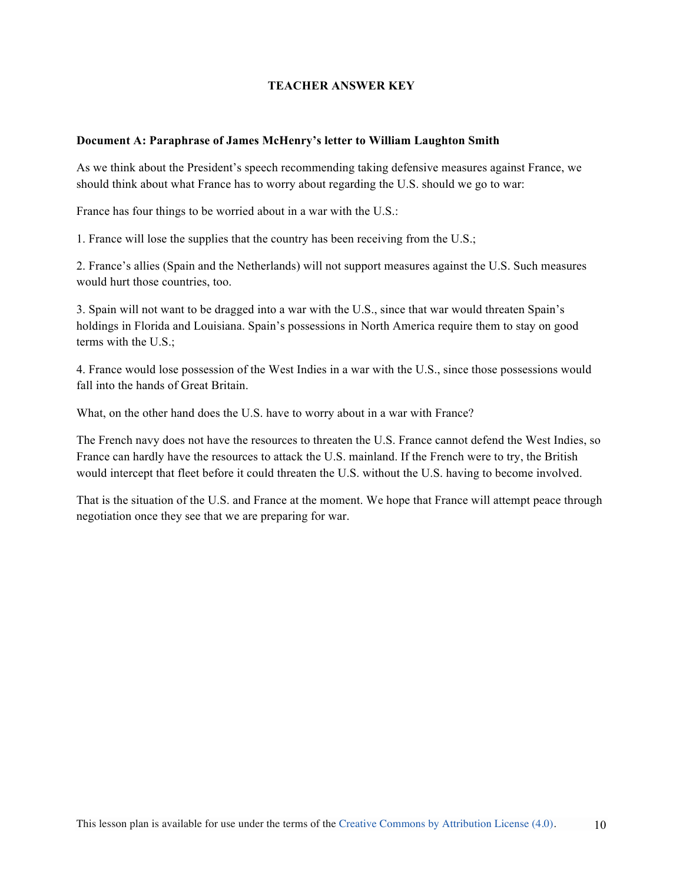# **TEACHER ANSWER KEY**

### **Document A: Paraphrase of James McHenry's letter to William Laughton Smith**

As we think about the President's speech recommending taking defensive measures against France, we should think about what France has to worry about regarding the U.S. should we go to war:

France has four things to be worried about in a war with the U.S.:

1. France will lose the supplies that the country has been receiving from the U.S.;

2. France's allies (Spain and the Netherlands) will not support measures against the U.S. Such measures would hurt those countries, too.

3. Spain will not want to be dragged into a war with the U.S., since that war would threaten Spain's holdings in Florida and Louisiana. Spain's possessions in North America require them to stay on good terms with the U.S.;

4. France would lose possession of the West Indies in a war with the U.S., since those possessions would fall into the hands of Great Britain.

What, on the other hand does the U.S. have to worry about in a war with France?

The French navy does not have the resources to threaten the U.S. France cannot defend the West Indies, so France can hardly have the resources to attack the U.S. mainland. If the French were to try, the British would intercept that fleet before it could threaten the U.S. without the U.S. having to become involved.

That is the situation of the U.S. and France at the moment. We hope that France will attempt peace through negotiation once they see that we are preparing for war.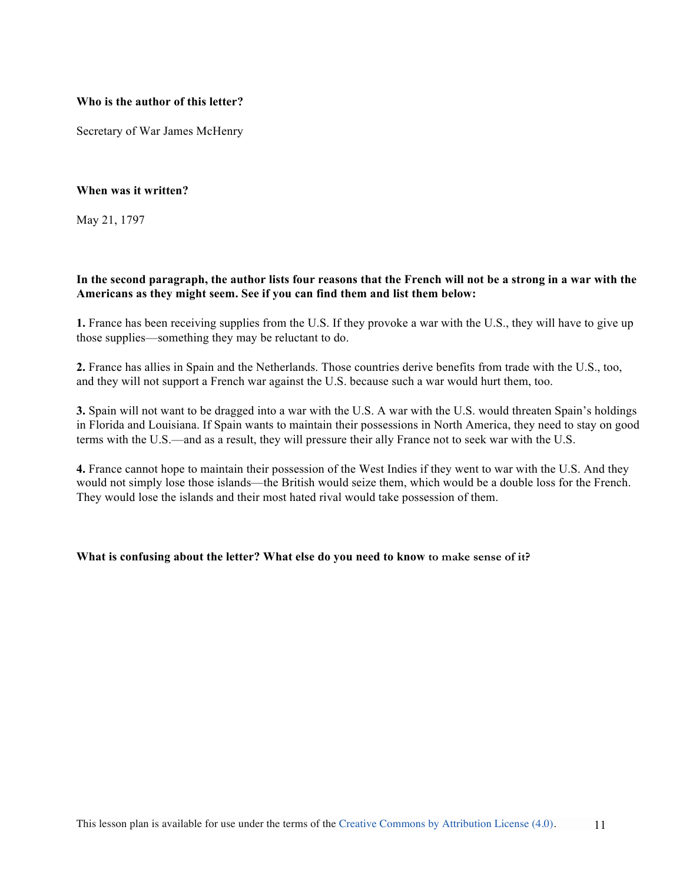### **Who is the author of this letter?**

Secretary of War James McHenry

# **When was it written?**

May 21, 1797

# **In the second paragraph, the author lists four reasons that the French will not be a strong in a war with the Americans as they might seem. See if you can find them and list them below:**

**1.** France has been receiving supplies from the U.S. If they provoke a war with the U.S., they will have to give up those supplies—something they may be reluctant to do.

**2.** France has allies in Spain and the Netherlands. Those countries derive benefits from trade with the U.S., too, and they will not support a French war against the U.S. because such a war would hurt them, too.

**3.** Spain will not want to be dragged into a war with the U.S. A war with the U.S. would threaten Spain's holdings in Florida and Louisiana. If Spain wants to maintain their possessions in North America, they need to stay on good terms with the U.S.—and as a result, they will pressure their ally France not to seek war with the U.S.

**4.** France cannot hope to maintain their possession of the West Indies if they went to war with the U.S. And they would not simply lose those islands—the British would seize them, which would be a double loss for the French. They would lose the islands and their most hated rival would take possession of them.

### **What is confusing about the letter? What else do you need to know to make sense of it?**